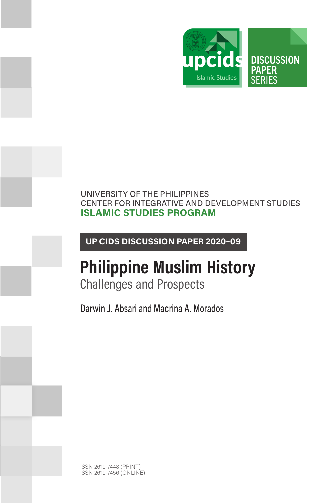

## UNIVERSITY OF THE PHILIPPINES CENTER FOR INTEGRATIVE AND DEVELOPMENT STUDIES **ISLAMIC STUDIES PROGRAM**

**UP CIDS DISCUSSION PAPER 2020–09**

## **Philippine Muslim History** Challenges and Prospects

Darwin J. Absari and Macrina A. Morados

ISSN 2619-7448 (PRINT) ISSN 2619-7456 (ONLINE)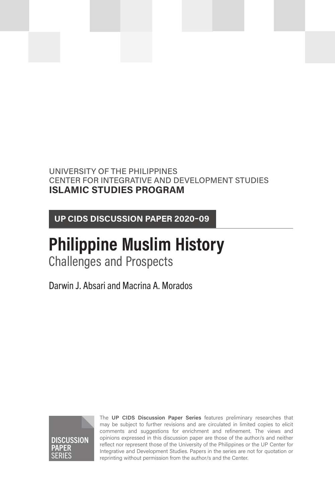## UNIVERSITY OF THE PHILIPPINES CENTER FOR INTEGRATIVE AND DEVELOPMENT STUDIES **ISLAMIC STUDIES PROGRAM**

**UP CIDS DISCUSSION PAPER 2020–09**

## **Philippine Muslim History** Challenges and Prospects

Darwin J. Absari and Macrina A. Morados



The **UP CIDS Discussion Paper Series** features preliminary researches that may be subject to further revisions and are circulated in limited copies to elicit comments and suggestions for enrichment and refinement. The views and opinions expressed in this discussion paper are those of the author/s and neither reflect nor represent those of the University of the Philippines or the UP Center for Integrative and Development Studies. Papers in the series are not for quotation or reprinting without permission from the author/s and the Center.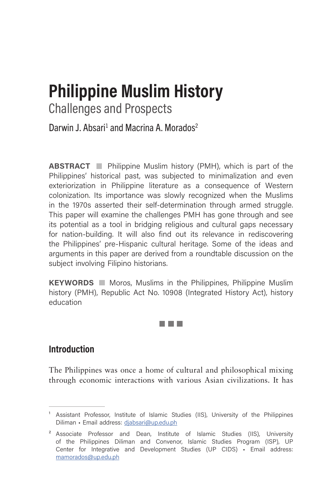# **Philippine Muslim History**

Challenges and Prospects

Darwin J. Absari<sup>1</sup> and Macrina A. Morados<sup>2</sup>

**ABSTRACT** Philippine Muslim history (PMH), which is part of the Philippines' historical past, was subjected to minimalization and even exteriorization in Philippine literature as a consequence of Western colonization. Its importance was slowly recognized when the Muslims in the 1970s asserted their self-determination through armed struggle. This paper will examine the challenges PMH has gone through and see its potential as a tool in bridging religious and cultural gaps necessary for nation-building. It will also find out its relevance in rediscovering the Philippines' pre-Hispanic cultural heritage. Some of the ideas and arguments in this paper are derived from a roundtable discussion on the subject involving Filipino historians.

**KEYWORDS** Moros, Muslims in the Philippines, Philippine Muslim history (PMH), Republic Act No. 10908 (Integrated History Act), history education

**Film Fi** 

## **Introduction**

The Philippines was once a home of cultural and philosophical mixing through economic interactions with various Asian civilizations. It has

<sup>&</sup>lt;sup>1</sup> Assistant Professor, Institute of Islamic Studies (IIS), University of the Philippines Diliman • Email address: diabsari@up.edu.ph

<sup>&</sup>lt;sup>2</sup> Associate Professor and Dean, Institute of Islamic Studies (IIS), University of the Philippines Diliman and Convenor, Islamic Studies Program (ISP), UP Center for Integrative and Development Studies (UP CIDS) • Email address: [mamorados@up.edu.ph](mailto:mamorados%40up.edu.ph?subject=)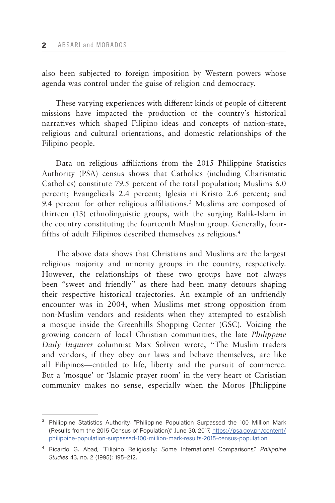also been subjected to foreign imposition by Western powers whose agenda was control under the guise of religion and democracy.

These varying experiences with different kinds of people of different missions have impacted the production of the country's historical narratives which shaped Filipino ideas and concepts of nation-state, religious and cultural orientations, and domestic relationships of the Filipino people.

Data on religious affiliations from the 2015 Philippine Statistics Authority (PSA) census shows that Catholics (including Charismatic Catholics) constitute 79.5 percent of the total population; Muslims 6.0 percent; Evangelicals 2.4 percent; Iglesia ni Kristo 2.6 percent; and 9.4 percent for other religious affiliations.3 Muslims are composed of thirteen (13) ethnolinguistic groups, with the surging Balik-Islam in the country constituting the fourteenth Muslim group. Generally, fourfifths of adult Filipinos described themselves as religious.<sup>4</sup>

The above data shows that Christians and Muslims are the largest religious majority and minority groups in the country, respectively. However, the relationships of these two groups have not always been "sweet and friendly" as there had been many detours shaping their respective historical trajectories. An example of an unfriendly encounter was in 2004, when Muslims met strong opposition from non-Muslim vendors and residents when they attempted to establish a mosque inside the Greenhills Shopping Center (GSC). Voicing the growing concern of local Christian communities, the late *Philippine Daily Inquirer* columnist Max Soliven wrote, "The Muslim traders and vendors, if they obey our laws and behave themselves, are like all Filipinos—entitled to life, liberty and the pursuit of commerce. But a 'mosque' or 'Islamic prayer room' in the very heart of Christian community makes no sense, especially when the Moros [Philippine

<sup>&</sup>lt;sup>3</sup> Philippine Statistics Authority, "Philippine Population Surpassed the 100 Million Mark (Results from the 2015 Census of Population)," June 30, 2017, [https://psa.gov.ph/content/](https://psa.gov.ph/content/philippine-population-surpassed-100-million-mark-results-2015-census-population) [philippine-population-surpassed-100-million-mark-results-2015-census-population.](https://psa.gov.ph/content/philippine-population-surpassed-100-million-mark-results-2015-census-population)

⁴ Ricardo G. Abad, "Filipino Religiosity: Some International Comparisons," *Philippine Studies* 43, no. 2 (1995): 195–212.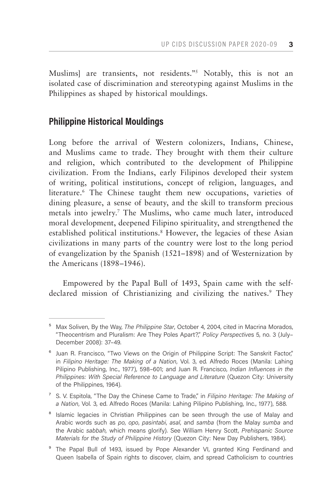Muslims] are transients, not residents."<sup>5</sup> Notably, this is not an isolated case of discrimination and stereotyping against Muslims in the Philippines as shaped by historical mouldings.

## **Philippine Historical Mouldings**

Long before the arrival of Western colonizers, Indians, Chinese, and Muslims came to trade. They brought with them their culture and religion, which contributed to the development of Philippine civilization. From the Indians, early Filipinos developed their system of writing, political institutions, concept of religion, languages, and literature.<sup>6</sup> The Chinese taught them new occupations, varieties of dining pleasure, a sense of beauty, and the skill to transform precious metals into jewelry.7 The Muslims, who came much later, introduced moral development, deepened Filipino spirituality, and strengthened the established political institutions.8 However, the legacies of these Asian civilizations in many parts of the country were lost to the long period of evangelization by the Spanish (1521–1898) and of Westernization by the Americans (1898–1946).

Empowered by the Papal Bull of 1493, Spain came with the selfdeclared mission of Christianizing and civilizing the natives.<sup>9</sup> They

<sup>9</sup> The Papal Bull of 1493, issued by Pope Alexander VI, granted King Ferdinand and Queen Isabella of Spain rights to discover, claim, and spread Catholicism to countries

<sup>&</sup>lt;sup>5</sup> Max Soliven, By the Way, *The Philippine Star*, October 4, 2004, cited in Macrina Morados, "Theocentrism and Pluralism: Are They Poles Apart?," *Policy Perspective*s 5, no. 3 (July– December 2008): 37–49.

<sup>&</sup>lt;sup>6</sup> Juan R. Francisco, "Two Views on the Origin of Philippine Script: The Sanskrit Factor," in *Filipino Heritage: The Making of a Nation*, Vol. 3, ed. Alfredo Roces (Manila: Lahing Pilipino Publishing, Inc., 1977), 598–601; and Juan R. Francisco, *Indian Influences in the Philippines: With Special Reference to Language and Literature* (Quezon City: University of the Philippines, 1964).

⁷ S. V. Espitola, "The Day the Chinese Came to Trade," in *Filipino Heritage: The Making of a Nation*, Vol. 3, ed. Alfredo Roces (Manila: Lahing Pilipino Publishing, Inc., 1977), 588.

<sup>&</sup>lt;sup>8</sup> Islamic legacies in Christian Philippines can be seen through the use of Malay and Arabic words such as *po*, *opo*, *pasintabi*, *asal*, and *samba* (from the Malay *sumba* and the Arabic *sabbah,* which means glorify). See William Henry Scott, *Prehispanic Source Materials for the Study of Philippine History* (Quezon City: New Day Publishers, 1984).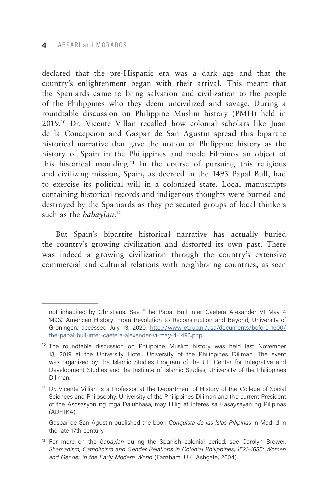declared that the pre-Hispanic era was a dark age and that the country's enlightenment began with their arrival. This meant that the Spaniards came to bring salvation and civilization to the people of the Philippines who they deem uncivilized and savage. During a roundtable discussion on Philippine Muslim history (PMH) held in 2019,10 Dr. Vicente Villan recalled how colonial scholars like Juan de la Concepcion and Gaspar de San Agustin spread this bipartite historical narrative that gave the notion of Philippine history as the history of Spain in the Philippines and made Filipinos an object of this historical moulding.11 In the course of pursuing this religious and civilizing mission, Spain, as decreed in the 1493 Papal Bull, had to exercise its political will in a colonized state. Local manuscripts containing historical records and indigenous thoughts were burned and destroyed by the Spaniards as they persecuted groups of local thinkers such as the *babaylan*. 12

But Spain's bipartite historical narrative has actually buried the country's growing civilization and distorted its own past. There was indeed a growing civilization through the country's extensive commercial and cultural relations with neighboring countries, as seen

Gaspar de San Agustin published the book *Conquista de las Islas Pilipinas* in Madrid in the late 17th century.

not inhabited by Christians. See "The Papal Bull Inter Caetera Alexander VI May 4 1493," American History: From Revolution to Reconstruction and Beyond, University of Groningen, accessed July 13, 2020, [http://www.let.rug.nl/usa/documents/before-1600/](http://www.let.rug.nl/usa/documents/before-1600/the-papal-bull-inter-caetera-alexander-vi-may-4-1493.php) [the-papal-bull-inter-caetera-alexander-vi-may-4-1493.php.](http://www.let.rug.nl/usa/documents/before-1600/the-papal-bull-inter-caetera-alexander-vi-may-4-1493.php)

 $10$  The roundtable discussion on Philippine Muslim history was held last November 13, 2019 at the University Hotel, University of the Philippines Diliman. The event was organized by the Islamic Studies Program of the UP Center for Integrative and Development Studies and the Institute of Islamic Studies, University of the Philippines Diliman.

<sup>&</sup>lt;sup>11</sup> Dr. Vicente Villian is a Professor at the Department of History of the College of Social Sciences and Philosophy, University of the Philippines Diliman and the current President of the Asosasyon ng mga Dalubhasa, may Hilig at Interes sa Kasaysayan ng Pilipinas (ADHIKA).

<sup>12</sup> For more on the *babaylan* during the Spanish colonial period, see Carolyn Brewer, *Shamanism, Catholicism and Gender Relations in Colonial Philippines*, *1521–1685: Women and Gender in the Early Modern World* (Farnham, UK: Ashgate, 2004).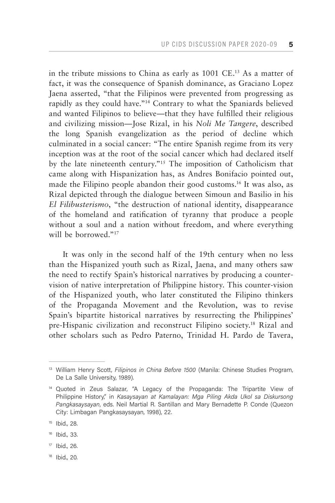in the tribute missions to China as early as 1001 CE.13 As a matter of fact, it was the consequence of Spanish dominance, as Graciano Lopez Jaena asserted, "that the Filipinos were prevented from progressing as rapidly as they could have."14 Contrary to what the Spaniards believed and wanted Filipinos to believe—that they have fulfilled their religious and civilizing mission—Jose Rizal, in his *Noli Me Tangere*, described the long Spanish evangelization as the period of decline which culminated in a social cancer: "The entire Spanish regime from its very inception was at the root of the social cancer which had declared itself by the late nineteenth century."15 The imposition of Catholicism that came along with Hispanization has, as Andres Bonifacio pointed out, made the Filipino people abandon their good customs.<sup>16</sup> It was also, as Rizal depicted through the dialogue between Simoun and Basilio in his *El Filibusterismo*, "the destruction of national identity, disappearance of the homeland and ratification of tyranny that produce a people without a soul and a nation without freedom, and where everything will be borrowed."<sup>17</sup>

It was only in the second half of the 19th century when no less than the Hispanized youth such as Rizal, Jaena, and many others saw the need to rectify Spain's historical narratives by producing a countervision of native interpretation of Philippine history. This counter-vision of the Hispanized youth, who later constituted the Filipino thinkers of the Propaganda Movement and the Revolution, was to revise Spain's bipartite historical narratives by resurrecting the Philippines' pre-Hispanic civilization and reconstruct Filipino society.18 Rizal and other scholars such as Pedro Paterno, Trinidad H. Pardo de Tavera,

<sup>18</sup> Ibid., 20.

<sup>13</sup> William Henry Scott, *Filipinos in China Before 1500* (Manila: Chinese Studies Program, De La Salle University, 1989).

<sup>&</sup>lt;sup>14</sup> Quoted in Zeus Salazar, "A Legacy of the Propaganda: The Tripartite View of Philippine History," in *Kasaysayan at Kamalayan: Mga Piling Akda Ukol sa Diskursong Pangkasaysayan*, eds. Neil Martial R. Santillan and Mary Bernadette P. Conde (Quezon City: Limbagan Pangkasaysayan, 1998), 22.

<sup>15</sup> Ibid., 28.

<sup>16</sup> Ibid., 33.

 $17$  Ibid., 26.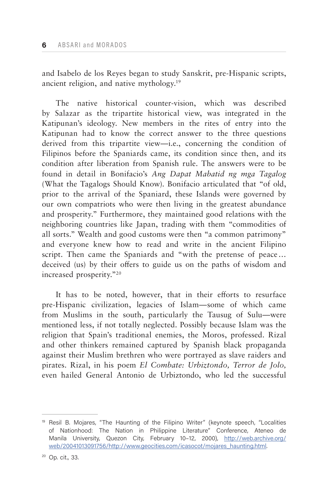and Isabelo de los Reyes began to study Sanskrit, pre-Hispanic scripts, ancient religion, and native mythology.19

The native historical counter-vision, which was described by Salazar as the tripartite historical view, was integrated in the Katipunan's ideology. New members in the rites of entry into the Katipunan had to know the correct answer to the three questions derived from this tripartite view—i.e., concerning the condition of Filipinos before the Spaniards came, its condition since then, and its condition after liberation from Spanish rule. The answers were to be found in detail in Bonifacio's *Ang Dapat Mabatid ng mga Tagalog*  (What the Tagalogs Should Know). Bonifacio articulated that "of old, prior to the arrival of the Spaniard, these Islands were governed by our own compatriots who were then living in the greatest abundance and prosperity." Furthermore, they maintained good relations with the neighboring countries like Japan, trading with them "commodities of all sorts." Wealth and good customs were then "a common patrimony" and everyone knew how to read and write in the ancient Filipino script. Then came the Spaniards and "with the pretense of peace... deceived (us) by their offers to guide us on the paths of wisdom and increased prosperity."20

It has to be noted, however, that in their efforts to resurface pre-Hispanic civilization, legacies of Islam—some of which came from Muslims in the south, particularly the Tausug of Sulu—were mentioned less, if not totally neglected. Possibly because Islam was the religion that Spain's traditional enemies, the Moros, professed. Rizal and other thinkers remained captured by Spanish black propaganda against their Muslim brethren who were portrayed as slave raiders and pirates. Rizal, in his poem *El Combate: Urbiztondo, Terror de Jolo,*  even hailed General Antonio de Urbiztondo, who led the successful

<sup>&</sup>lt;sup>19</sup> Resil B. Mojares, "The Haunting of the Filipino Writer" (keynote speech, "Localities of Nationhood: The Nation in Philippine Literature" Conference, Ateneo de Manila University, Quezon City, February 10–12, 2000), [http://web.archive.org/](http://web.archive.org/web/20041013091756/http://www.geocities.com/icasocot/mojares_haunting.html) [web/20041013091756/http://www.geocities.com/icasocot/mojares\\_haunting.html](http://web.archive.org/web/20041013091756/http://www.geocities.com/icasocot/mojares_haunting.html).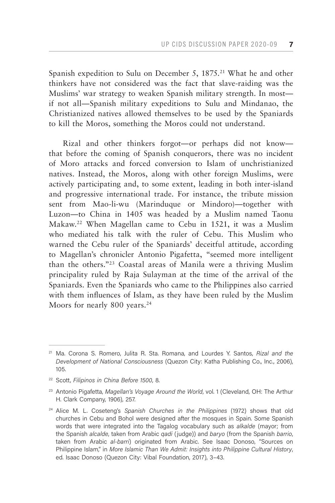Spanish expedition to Sulu on December 5, 1875.<sup>21</sup> What he and other thinkers have not considered was the fact that slave-raiding was the Muslims' war strategy to weaken Spanish military strength. In most if not all—Spanish military expeditions to Sulu and Mindanao, the Christianized natives allowed themselves to be used by the Spaniards to kill the Moros, something the Moros could not understand.

Rizal and other thinkers forgot—or perhaps did not know that before the coming of Spanish conquerors, there was no incident of Moro attacks and forced conversion to Islam of unchristianized natives. Instead, the Moros, along with other foreign Muslims, were actively participating and, to some extent, leading in both inter-island and progressive international trade. For instance, the tribute mission sent from Mao-li-wu (Marinduque or Mindoro)—together with Luzon—to China in 1405 was headed by a Muslim named Taonu Makaw.22 When Magellan came to Cebu in 1521, it was a Muslim who mediated his talk with the ruler of Cebu. This Muslim who warned the Cebu ruler of the Spaniards' deceitful attitude, according to Magellan's chronicler Antonio Pigafetta, "seemed more intelligent than the others."23 Coastal areas of Manila were a thriving Muslim principality ruled by Raja Sulayman at the time of the arrival of the Spaniards. Even the Spaniards who came to the Philippines also carried with them influences of Islam, as they have been ruled by the Muslim Moors for nearly 800 years.<sup>24</sup>

<sup>21</sup> Ma. Corona S. Romero, Julita R. Sta. Romana, and Lourdes Y. Santos, *Rizal and the Development of National Consciousness* (Quezon City: Katha Publishing Co., Inc., 2006), 105.

<sup>22</sup> Scott, *Filipinos in China Before 1500*, 8.

<sup>23</sup> Antonio Pigafetta, *Magellan's Voyage Around the World*, vol. 1 (Cleveland, OH: The Arthur H. Clark Company, 1906), 257.

<sup>24</sup> Alice M. L. Coseteng's *Spanish Churches in the Philippines* (1972) shows that old churches in Cebu and Bohol were designed after the mosques in Spain. Some Spanish words that were integrated into the Tagalog vocabulary such as *alkalde* (mayor; from the Spanish *alcalde*, taken from Arabic *qadi* (judge)) and *baryo* (from the Spanish *barrio*, taken from Arabic *al-barri*) originated from Arabic. See Isaac Donoso, "Sources on Philippine Islam," in *More Islamic Than We Admit: Insights into Philippine Cultural History*, ed. Isaac Donoso (Quezon City: Vibal Foundation, 2017), 3–43.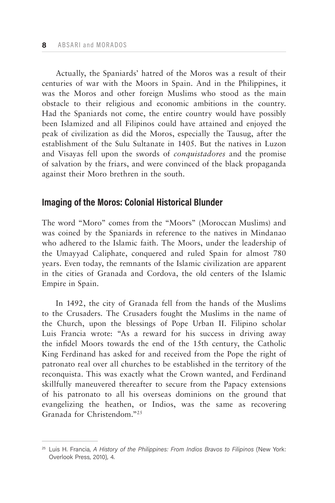Actually, the Spaniards' hatred of the Moros was a result of their centuries of war with the Moors in Spain. And in the Philippines, it was the Moros and other foreign Muslims who stood as the main obstacle to their religious and economic ambitions in the country. Had the Spaniards not come, the entire country would have possibly been Islamized and all Filipinos could have attained and enjoyed the peak of civilization as did the Moros, especially the Tausug, after the establishment of the Sulu Sultanate in 1405. But the natives in Luzon and Visayas fell upon the swords of *conquistadores* and the promise of salvation by the friars, and were convinced of the black propaganda against their Moro brethren in the south.

## **Imaging of the Moros: Colonial Historical Blunder**

The word "Moro" comes from the "Moors" (Moroccan Muslims) and was coined by the Spaniards in reference to the natives in Mindanao who adhered to the Islamic faith. The Moors, under the leadership of the Umayyad Caliphate, conquered and ruled Spain for almost 780 years. Even today, the remnants of the Islamic civilization are apparent in the cities of Granada and Cordova, the old centers of the Islamic Empire in Spain.

In 1492, the city of Granada fell from the hands of the Muslims to the Crusaders. The Crusaders fought the Muslims in the name of the Church, upon the blessings of Pope Urban II. Filipino scholar Luis Francia wrote: "As a reward for his success in driving away the infidel Moors towards the end of the 15th century, the Catholic King Ferdinand has asked for and received from the Pope the right of patronato real over all churches to be established in the territory of the reconquista. This was exactly what the Crown wanted, and Ferdinand skillfully maneuvered thereafter to secure from the Papacy extensions of his patronato to all his overseas dominions on the ground that evangelizing the heathen, or Indios, was the same as recovering Granada for Christendom."25

<sup>25</sup> Luis H. Francia, *A History of the Philippines: From Indios Bravos to Filipinos* (New York: Overlook Press, 2010), 4.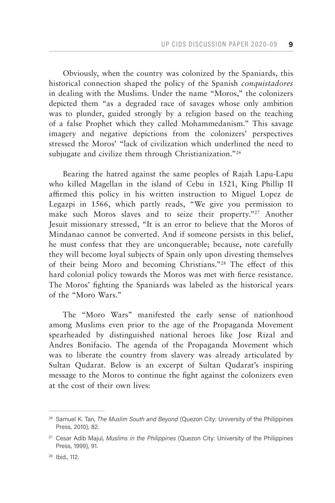Obviously, when the country was colonized by the Spaniards, this historical connection shaped the policy of the Spanish *conquistadores*  in dealing with the Muslims. Under the name "Moros," the colonizers depicted them "as a degraded race of savages whose only ambition was to plunder, guided strongly by a religion based on the teaching of a false Prophet which they called Mohammedanism." This savage imagery and negative depictions from the colonizers' perspectives stressed the Moros' "lack of civilization which underlined the need to subjugate and civilize them through Christianization."<sup>26</sup>

Bearing the hatred against the same peoples of Rajah Lapu-Lapu who killed Magellan in the island of Cebu in 1521, King Phillip II affirmed this policy in his written instruction to Miguel Lopez de Legazpi in 1566, which partly reads, "We give you permission to make such Moros slaves and to seize their property."<sup>27</sup> Another Jesuit missionary stressed, "It is an error to believe that the Moros of Mindanao cannot be converted. And if someone persists in this belief, he must confess that they are unconquerable; because, note carefully they will become loyal subjects of Spain only upon divesting themselves of their being Moro and becoming Christians."28 The effect of this hard colonial policy towards the Moros was met with fierce resistance. The Moros' fighting the Spaniards was labeled as the historical years of the "Moro Wars."

The "Moro Wars" manifested the early sense of nationhood among Muslims even prior to the age of the Propaganda Movement spearheaded by distinguished national heroes like Jose Rizal and Andres Bonifacio. The agenda of the Propaganda Movement which was to liberate the country from slavery was already articulated by Sultan Qudarat. Below is an excerpt of Sultan Qudarat's inspiring message to the Moros to continue the fight against the colonizers even at the cost of their own lives:

<sup>26</sup> Samuel K. Tan, *The Muslim South and Beyond* (Quezon City: University of the Philippines Press, 2010), 82.

<sup>27</sup> Cesar Adib Majul, *Muslims in the Philippines* (Quezon City: University of the Philippines Press, 1999), 91.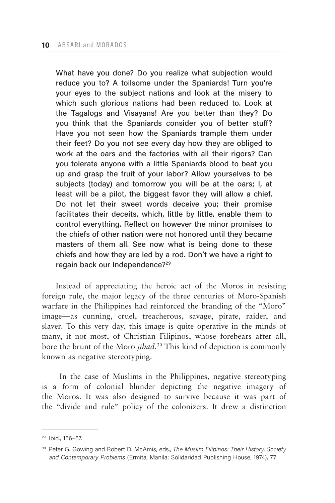What have you done? Do you realize what subjection would reduce you to? A toilsome under the Spaniards! Turn you're your eyes to the subject nations and look at the misery to which such glorious nations had been reduced to. Look at the Tagalogs and Visayans! Are you better than they? Do you think that the Spaniards consider you of better stuff? Have you not seen how the Spaniards trample them under their feet? Do you not see every day how they are obliged to work at the oars and the factories with all their rigors? Can you tolerate anyone with a little Spaniards blood to beat you up and grasp the fruit of your labor? Allow yourselves to be subjects (today) and tomorrow you will be at the oars; I, at least will be a pilot, the biggest favor they will allow a chief. Do not let their sweet words deceive you; their promise facilitates their deceits, which, little by little, enable them to control everything. Reflect on however the minor promises to the chiefs of other nation were not honored until they became masters of them all. See now what is being done to these chiefs and how they are led by a rod. Don't we have a right to regain back our Independence?29

Instead of appreciating the heroic act of the Moros in resisting foreign rule, the major legacy of the three centuries of Moro-Spanish warfare in the Philippines had reinforced the branding of the "Moro" image—as cunning, cruel, treacherous, savage, pirate, raider, and slaver. To this very day, this image is quite operative in the minds of many, if not most, of Christian Filipinos, whose forebears after all, bore the brunt of the Moro *jihad*. 30 This kind of depiction is commonly known as negative stereotyping.

 In the case of Muslims in the Philippines, negative stereotyping is a form of colonial blunder depicting the negative imagery of the Moros. It was also designed to survive because it was part of the "divide and rule" policy of the colonizers. It drew a distinction

<sup>29</sup> Ibid., 156–57.

<sup>30</sup> Peter G. Gowing and Robert D. McAmis, eds., *The Muslim Filipinos: Their History, Society and Contemporary Problems* (Ermita, Manila: Solidaridad Publishing House, 1974), 77.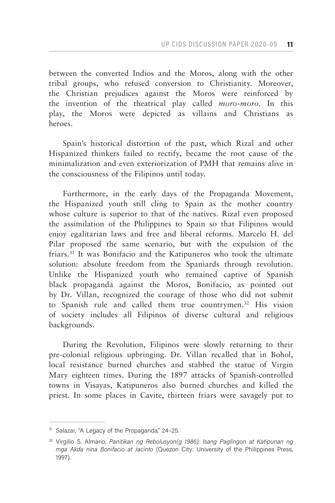between the converted Indios and the Moros, along with the other tribal groups, who refused conversion to Christianity. Moreover, the Christian prejudices against the Moros were reinforced by the invention of the theatrical play called *moro-moro.* In this play, the Moros were depicted as villains and Christians as heroes.

Spain's historical distortion of the past, which Rizal and other Hispanized thinkers failed to rectify, became the root cause of the minimalization and even exteriorization of PMH that remains alive in the consciousness of the Filipinos until today.

Furthermore, in the early days of the Propaganda Movement, the Hispanized youth still cling to Spain as the mother country whose culture is superior to that of the natives. Rizal even proposed the assimilation of the Philippines to Spain so that Filipinos would enjoy egalitarian laws and free and liberal reforms. Marcelo H. del Pilar proposed the same scenario, but with the expulsion of the friars.31 It was Bonifacio and the Katipuneros who took the ultimate solution: absolute freedom from the Spaniards through revolution. Unlike the Hispanized youth who remained captive of Spanish black propaganda against the Moros, Bonifacio, as pointed out by Dr. Villan, recognized the courage of those who did not submit to Spanish rule and called them true countrymen.<sup>32</sup> His vision of society includes all Filipinos of diverse cultural and religious backgrounds.

During the Revolution, Filipinos were slowly returning to their pre-colonial religious upbringing. Dr. Villan recalled that in Bohol, local resistance burned churches and stabbed the statue of Virgin Mary eighteen times. During the 1897 attacks of Spanish-controlled towns in Visayas, Katipuneros also burned churches and killed the priest. In some places in Cavite, thirteen friars were savagely put to

<sup>&</sup>lt;sup>31</sup> Salazar, "A Legacy of the Propaganda," 24-25.

<sup>32</sup> Virgilio S. Almario, *Panitikan ng Rebolusyon(g 1986): Isang Paglingon at Katipunan ng mga Akda nina Bonifacio at Jacinto* (Quezon City: University of the Philippines Press, 1997).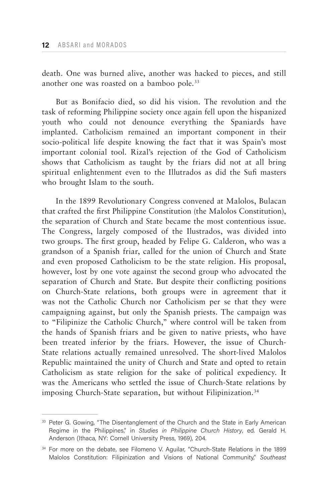death. One was burned alive, another was hacked to pieces, and still another one was roasted on a bamboo pole.<sup>33</sup>

But as Bonifacio died, so did his vision. The revolution and the task of reforming Philippine society once again fell upon the hispanized youth who could not denounce everything the Spaniards have implanted. Catholicism remained an important component in their socio-political life despite knowing the fact that it was Spain's most important colonial tool. Rizal's rejection of the God of Catholicism shows that Catholicism as taught by the friars did not at all bring spiritual enlightenment even to the Illutrados as did the Sufi masters who brought Islam to the south.

In the 1899 Revolutionary Congress convened at Malolos, Bulacan that crafted the first Philippine Constitution (the Malolos Constitution), the separation of Church and State became the most contentious issue. The Congress, largely composed of the Ilustrados, was divided into two groups. The first group, headed by Felipe G. Calderon, who was a grandson of a Spanish friar, called for the union of Church and State and even proposed Catholicism to be the state religion. His proposal, however, lost by one vote against the second group who advocated the separation of Church and State. But despite their conflicting positions on Church-State relations, both groups were in agreement that it was not the Catholic Church nor Catholicism per se that they were campaigning against, but only the Spanish priests. The campaign was to "Filipinize the Catholic Church," where control will be taken from the hands of Spanish friars and be given to native priests, who have been treated inferior by the friars. However, the issue of Church-State relations actually remained unresolved. The short-lived Malolos Republic maintained the unity of Church and State and opted to retain Catholicism as state religion for the sake of political expediency. It was the Americans who settled the issue of Church-State relations by imposing Church-State separation, but without Filipinization.<sup>34</sup>

<sup>&</sup>lt;sup>33</sup> Peter G. Gowing, "The Disentanglement of the Church and the State in Early American Regime in the Philippines," in *Studies in Philippine Church History*, ed. Gerald H. Anderson (Ithaca, NY: Cornell University Press, 1969), 204.

<sup>&</sup>lt;sup>34</sup> For more on the debate, see Filomeno V. Aguilar, "Church-State Relations in the 1899 Malolos Constitution: Filipinization and Visions of National Community," *Southeast*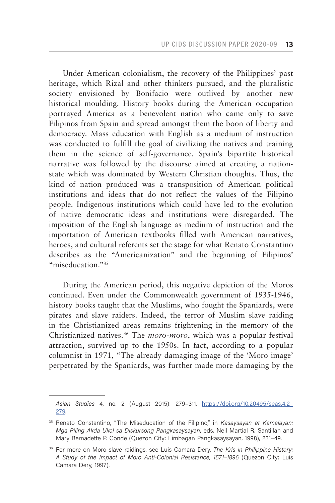Under American colonialism, the recovery of the Philippines' past heritage, which Rizal and other thinkers pursued, and the pluralistic society envisioned by Bonifacio were outlived by another new historical moulding. History books during the American occupation portrayed America as a benevolent nation who came only to save Filipinos from Spain and spread amongst them the boon of liberty and democracy. Mass education with English as a medium of instruction was conducted to fulfill the goal of civilizing the natives and training them in the science of self-governance. Spain's bipartite historical narrative was followed by the discourse aimed at creating a nationstate which was dominated by Western Christian thoughts. Thus, the kind of nation produced was a transposition of American political institutions and ideas that do not reflect the values of the Filipino people. Indigenous institutions which could have led to the evolution of native democratic ideas and institutions were disregarded. The imposition of the English language as medium of instruction and the importation of American textbooks filled with American narratives, heroes, and cultural referents set the stage for what Renato Constantino describes as the "Americanization" and the beginning of Filipinos' "miseducation."<sup>35</sup>

During the American period, this negative depiction of the Moros continued. Even under the Commonwealth government of 1935-1946, history books taught that the Muslims, who fought the Spaniards, were pirates and slave raiders. Indeed, the terror of Muslim slave raiding in the Christianized areas remains frightening in the memory of the Christianized natives.36 The *moro-moro*, which was a popular festival attraction, survived up to the 1950s. In fact, according to a popular columnist in 1971, "The already damaging image of the 'Moro image' perpetrated by the Spaniards, was further made more damaging by the

*Asian Studies* 4, no. 2 (August 2015): 279–311, [https://doi.org/10.20495/seas.4.2\\_](https://doi.org/10.20495/seas.4.2_279) [279](https://doi.org/10.20495/seas.4.2_279).

<sup>35</sup> Renato Constantino, "The Miseducation of the Filipino," in *Kasaysayan at Kamalayan: Mga Piling Akda Ukol sa Diskursong Pangkasaysayan*, eds. Neil Martial R. Santillan and Mary Bernadette P. Conde (Quezon City: Limbagan Pangkasaysayan, 1998), 231–49.

<sup>36</sup> For more on Moro slave raidings, see Luis Camara Dery, *The Kris in Philippine History: A Study of the Impact of Moro Anti-Colonial Resistance, 1571–1896* (Quezon City: Luis Camara Dery, 1997).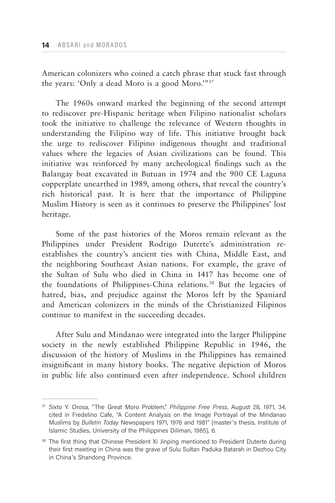American colonizers who coined a catch phrase that stuck fast through the years: 'Only a dead Moro is a good Moro.'"37

The 1960s onward marked the beginning of the second attempt to rediscover pre-Hispanic heritage when Filipino nationalist scholars took the initiative to challenge the relevance of Western thoughts in understanding the Filipino way of life. This initiative brought back the urge to rediscover Filipino indigenous thought and traditional values where the legacies of Asian civilizations can be found. This initiative was reinforced by many archeological findings such as the Balangay boat excavated in Butuan in 1974 and the 900 CE Laguna copperplate unearthed in 1989, among others, that reveal the country's rich historical past. It is here that the importance of Philippine Muslim History is seen as it continues to preserve the Philippines' lost heritage.

Some of the past histories of the Moros remain relevant as the Philippines under President Rodrigo Duterte's administration reestablishes the country's ancient ties with China, Middle East, and the neighboring Southeast Asian nations. For example, the grave of the Sultan of Sulu who died in China in 1417 has become one of the foundations of Philippines-China relations.38 But the legacies of hatred, bias, and prejudice against the Moros left by the Spaniard and American colonizers in the minds of the Christianized Filipinos continue to manifest in the succeeding decades.

After Sulu and Mindanao were integrated into the larger Philippine society in the newly established Philippine Republic in 1946, the discussion of the history of Muslims in the Philippines has remained insignificant in many history books. The negative depiction of Moros in public life also continued even after independence. School children

<sup>37</sup> Sixto Y. Orosa, "The Great Moro Problem," *Philippine Free Press*, August 28, 1971, 34, cited in Fredelino Cafe, "A Content Analysis on the Image Portrayal of the Mindanao Muslims by *Bulletin Today* Newspapers 1971, 1976 and 1981" (master's thesis, Institute of Islamic Studies, University of the Philippines Diliman, 1985), 6.

<sup>&</sup>lt;sup>38</sup> The first thing that Chinese President Xi Jinping mentioned to President Duterte during their first meeting in China was the grave of Sulu Sultan Paduka Batarah in Dezhou City in China's Shandong Province.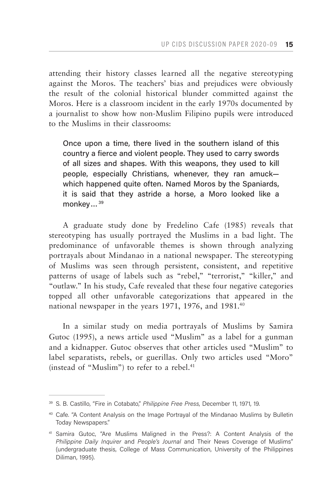attending their history classes learned all the negative stereotyping against the Moros. The teachers' bias and prejudices were obviously the result of the colonial historical blunder committed against the Moros. Here is a classroom incident in the early 1970s documented by a journalist to show how non-Muslim Filipino pupils were introduced to the Muslims in their classrooms:

Once upon a time, there lived in the southern island of this country a fierce and violent people. They used to carry swords of all sizes and shapes. With this weapons, they used to kill people, especially Christians, whenever, they ran amuck which happened quite often. Named Moros by the Spaniards, it is said that they astride a horse, a Moro looked like a monkey...<sup>39</sup>

A graduate study done by Fredelino Cafe (1985) reveals that stereotyping has usually portrayed the Muslims in a bad light. The predominance of unfavorable themes is shown through analyzing portrayals about Mindanao in a national newspaper. The stereotyping of Muslims was seen through persistent, consistent, and repetitive patterns of usage of labels such as "rebel," "terrorist," "killer," and "outlaw." In his study, Cafe revealed that these four negative categories topped all other unfavorable categorizations that appeared in the national newspaper in the years 1971, 1976, and 1981.<sup>40</sup>

In a similar study on media portrayals of Muslims by Samira Gutoc (1995), a news article used "Muslim" as a label for a gunman and a kidnapper. Gutoc observes that other articles used "Muslim" to label separatists, rebels, or guerillas. Only two articles used "Moro" (instead of "Muslim") to refer to a rebel.<sup>41</sup>

<sup>39</sup> S. B. Castillo, "Fire in Cotabato," *Philippine Free Press*, December 11, 1971, 19.

<sup>40</sup> Cafe. "A Content Analysis on the Image Portrayal of the Mindanao Muslims by Bulletin Today Newspapers."

<sup>41</sup> Samira Gutoc, "Are Muslims Maligned in the Press?: A Content Analysis of the *Philippine Daily Inquirer* and *People's Journal* and Their News Coverage of Muslims" (undergraduate thesis, College of Mass Communication, University of the Philippines Diliman, 1995).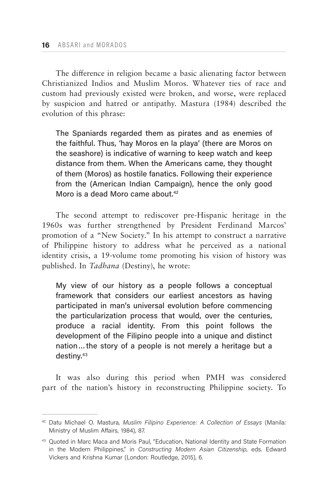The difference in religion became a basic alienating factor between Christianized Indios and Muslim Moros. Whatever ties of race and custom had previously existed were broken, and worse, were replaced by suspicion and hatred or antipathy. Mastura (1984) described the evolution of this phrase:

The Spaniards regarded them as pirates and as enemies of the faithful. Thus, 'hay Moros en la playa' (there are Moros on the seashore) is indicative of warning to keep watch and keep distance from them. When the Americans came, they thought of them (Moros) as hostile fanatics. Following their experience from the (American Indian Campaign), hence the only good Moro is a dead Moro came about.<sup>42</sup>

The second attempt to rediscover pre-Hispanic heritage in the 1960s was further strengthened by President Ferdinand Marcos' promotion of a "New Society." In his attempt to construct a narrative of Philippine history to address what he perceived as a national identity crisis, a 19-volume tome promoting his vision of history was published. In *Tadhana* (Destiny), he wrote:

My view of our history as a people follows a conceptual framework that considers our earliest ancestors as having participated in man's universal evolution before commencing the particularization process that would, over the centuries, produce a racial identity. From this point follows the development of the Filipino people into a unique and distinct nation…the story of a people is not merely a heritage but a destiny.43

It was also during this period when PMH was considered part of the nation's history in reconstructing Philippine society. To

<sup>42</sup> Datu Michael O. Mastura, *Muslim Filipino Experience: A Collection of Essays* (Manila: Ministry of Muslim Affairs, 1984), 87.

<sup>&</sup>lt;sup>43</sup> Quoted in Marc Maca and Moris Paul, "Education, National Identity and State Formation in the Modern Philippines," in *Constructing Modern Asian Citizenship*, eds. Edward Vickers and Krishna Kumar (London: Routledge, 2015), 6.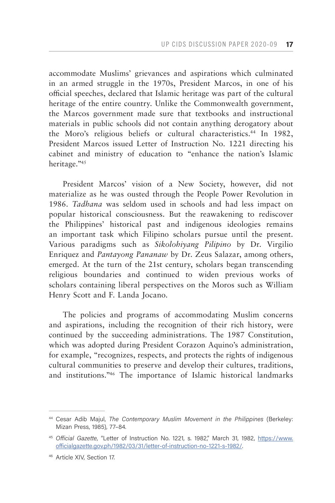accommodate Muslims' grievances and aspirations which culminated in an armed struggle in the 1970s, President Marcos, in one of his official speeches, declared that Islamic heritage was part of the cultural heritage of the entire country. Unlike the Commonwealth government, the Marcos government made sure that textbooks and instructional materials in public schools did not contain anything derogatory about the Moro's religious beliefs or cultural characteristics.<sup>44</sup> In 1982, President Marcos issued Letter of Instruction No. 1221 directing his cabinet and ministry of education to "enhance the nation's Islamic heritage."45

President Marcos' vision of a New Society, however, did not materialize as he was ousted through the People Power Revolution in 1986. *Tadhana* was seldom used in schools and had less impact on popular historical consciousness. But the reawakening to rediscover the Philippines' historical past and indigenous ideologies remains an important task which Filipino scholars pursue until the present. Various paradigms such as *Sikolohiyang Pilipino* by Dr. Virgilio Enriquez and *Pantayong Pananaw* by Dr. Zeus Salazar, among others, emerged. At the turn of the 21st century, scholars began transcending religious boundaries and continued to widen previous works of scholars containing liberal perspectives on the Moros such as William Henry Scott and F. Landa Jocano.

The policies and programs of accommodating Muslim concerns and aspirations, including the recognition of their rich history, were continued by the succeeding administrations. The 1987 Constitution, which was adopted during President Corazon Aquino's administration, for example, "recognizes, respects, and protects the rights of indigenous cultural communities to preserve and develop their cultures, traditions, and institutions."46 The importance of Islamic historical landmarks

<sup>&</sup>lt;sup>44</sup> Cesar Adib Majul, *The Contemporary Muslim Movement in the Philippines* (Berkeley: Mizan Press, 1985), 77–84.

<sup>45</sup> *Official Gazette*, "Letter of Instruction No. 1221, s. 1982," March 31, 1982, [https://www.](https://www.officialgazette.gov.ph/1982/03/31/letter-of-instruction-no-1221-s-1982/) [officialgazette.gov.ph/1982/03/31/letter-of-instruction-no-1221-s-1982/.](https://www.officialgazette.gov.ph/1982/03/31/letter-of-instruction-no-1221-s-1982/)

<sup>46</sup> Article XIV, Section 17.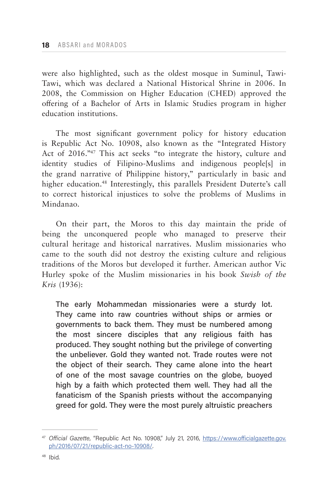were also highlighted, such as the oldest mosque in Suminul, Tawi-Tawi, which was declared a National Historical Shrine in 2006. In 2008, the Commission on Higher Education (CHED) approved the offering of a Bachelor of Arts in Islamic Studies program in higher education institutions.

The most significant government policy for history education is Republic Act No. 10908, also known as the "Integrated History Act of 2016."47 This act seeks "to integrate the history, culture and identity studies of Filipino-Muslims and indigenous people[s] in the grand narrative of Philippine history," particularly in basic and higher education.<sup>48</sup> Interestingly, this parallels President Duterte's call to correct historical injustices to solve the problems of Muslims in Mindanao.

On their part, the Moros to this day maintain the pride of being the unconquered people who managed to preserve their cultural heritage and historical narratives. Muslim missionaries who came to the south did not destroy the existing culture and religious traditions of the Moros but developed it further. American author Vic Hurley spoke of the Muslim missionaries in his book *Swish of the Kris* (1936):

The early Mohammedan missionaries were a sturdy lot. They came into raw countries without ships or armies or governments to back them. They must be numbered among the most sincere disciples that any religious faith has produced. They sought nothing but the privilege of converting the unbeliever. Gold they wanted not. Trade routes were not the object of their search. They came alone into the heart of one of the most savage countries on the globe, buoyed high by a faith which protected them well. They had all the fanaticism of the Spanish priests without the accompanying greed for gold. They were the most purely altruistic preachers

<sup>47</sup> *Official Gazette*, "Republic Act No. 10908," July 21, 2016, [https://www.officialgazette.gov.](https://www.officialgazette.gov.ph/2016/07/21/republic-act-no-10908/) [ph/2016/07/21/republic-act-no-10908/.](https://www.officialgazette.gov.ph/2016/07/21/republic-act-no-10908/)

<sup>48</sup> Ibid.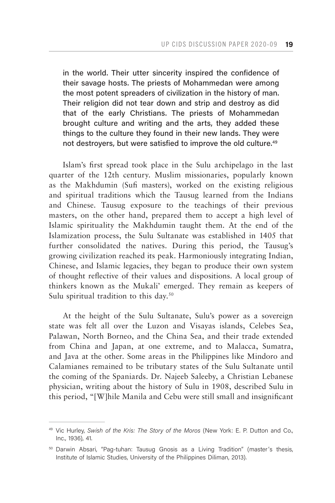in the world. Their utter sincerity inspired the confidence of their savage hosts. The priests of Mohammedan were among the most potent spreaders of civilization in the history of man. Their religion did not tear down and strip and destroy as did that of the early Christians. The priests of Mohammedan brought culture and writing and the arts, they added these things to the culture they found in their new lands. They were not destroyers, but were satisfied to improve the old culture.<sup>49</sup>

Islam's first spread took place in the Sulu archipelago in the last quarter of the 12th century. Muslim missionaries, popularly known as the Makhdumin (Sufi masters), worked on the existing religious and spiritual traditions which the Tausug learned from the Indians and Chinese. Tausug exposure to the teachings of their previous masters, on the other hand, prepared them to accept a high level of Islamic spirituality the Makhdumin taught them. At the end of the Islamization process, the Sulu Sultanate was established in 1405 that further consolidated the natives. During this period, the Tausug's growing civilization reached its peak. Harmoniously integrating Indian, Chinese, and Islamic legacies, they began to produce their own system of thought reflective of their values and dispositions. A local group of thinkers known as the Mukali' emerged. They remain as keepers of Sulu spiritual tradition to this day.<sup>50</sup>

At the height of the Sulu Sultanate, Sulu's power as a sovereign state was felt all over the Luzon and Visayas islands, Celebes Sea, Palawan, North Borneo, and the China Sea, and their trade extended from China and Japan, at one extreme, and to Malacca, Sumatra, and Java at the other. Some areas in the Philippines like Mindoro and Calamianes remained to be tributary states of the Sulu Sultanate until the coming of the Spaniards. Dr. Najeeb Saleeby, a Christian Lebanese physician, writing about the history of Sulu in 1908, described Sulu in this period, "[W]hile Manila and Cebu were still small and insignificant

<sup>49</sup> Vic Hurley, *Swish of the Kris: The Story of the Moros* (New York: E. P. Dutton and Co., Inc., 1936), 41.

<sup>&</sup>lt;sup>50</sup> Darwin Absari, "Pag-tuhan: Tausug Gnosis as a Living Tradition" (master's thesis, Institute of Islamic Studies, University of the Philippines Diliman, 2013).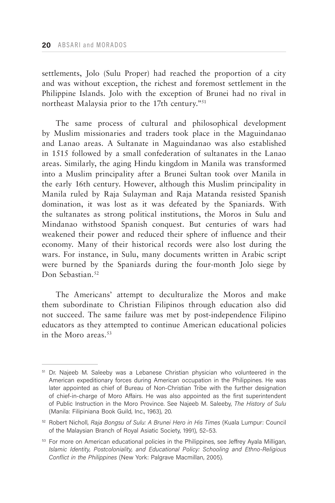settlements, Jolo (Sulu Proper) had reached the proportion of a city and was without exception, the richest and foremost settlement in the Philippine Islands. Jolo with the exception of Brunei had no rival in northeast Malaysia prior to the 17th century."51

The same process of cultural and philosophical development by Muslim missionaries and traders took place in the Maguindanao and Lanao areas. A Sultanate in Maguindanao was also established in 1515 followed by a small confederation of sultanates in the Lanao areas. Similarly, the aging Hindu kingdom in Manila was transformed into a Muslim principality after a Brunei Sultan took over Manila in the early 16th century. However, although this Muslim principality in Manila ruled by Raja Sulayman and Raja Matanda resisted Spanish domination, it was lost as it was defeated by the Spaniards. With the sultanates as strong political institutions, the Moros in Sulu and Mindanao withstood Spanish conquest. But centuries of wars had weakened their power and reduced their sphere of influence and their economy. Many of their historical records were also lost during the wars. For instance, in Sulu, many documents written in Arabic script were burned by the Spaniards during the four-month Jolo siege by Don Sebastian<sup>52</sup>

The Americans' attempt to deculturalize the Moros and make them subordinate to Christian Filipinos through education also did not succeed. The same failure was met by post-independence Filipino educators as they attempted to continue American educational policies in the Moro areas.53

<sup>&</sup>lt;sup>51</sup> Dr. Najeeb M. Saleeby was a Lebanese Christian physician who volunteered in the American expeditionary forces during American occupation in the Philippines. He was later appointed as chief of Bureau of Non-Christian Tribe with the further designation of chief-in-charge of Moro Affairs. He was also appointed as the first superintendent of Public Instruction in the Moro Province. See Najeeb M. Saleeby, *The History of Sulu* (Manila: Filipiniana Book Guild, Inc., 1963), 20.

<sup>52</sup> Robert Nicholl, *Raja Bongsu of Sulu: A Brunei Hero in His Times* (Kuala Lumpur: Council of the Malaysian Branch of Royal Asiatic Society, 1991), 52–53.

<sup>&</sup>lt;sup>53</sup> For more on American educational policies in the Philippines, see Jeffrey Ayala Milligan, *Islamic Identity, Postcoloniality, and Educational Policy: Schooling and Ethno-Religious Conflict in the Philippines* (New York: Palgrave Macmillan, 2005).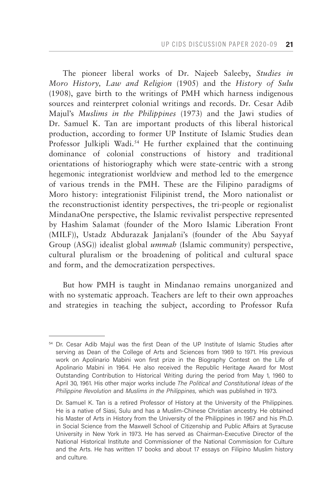The pioneer liberal works of Dr. Najeeb Saleeby, *Studies in Moro History, Law and Religion* (1905) and the *History of Sulu* (1908), gave birth to the writings of PMH which harness indigenous sources and reinterpret colonial writings and records. Dr. Cesar Adib Majul's *Muslims in the Philippines* (1973) and the Jawi studies of Dr. Samuel K. Tan are important products of this liberal historical production, according to former UP Institute of Islamic Studies dean Professor Julkipli Wadi.<sup>54</sup> He further explained that the continuing dominance of colonial constructions of history and traditional orientations of historiography which were state-centric with a strong hegemonic integrationist worldview and method led to the emergence of various trends in the PMH. These are the Filipino paradigms of Moro history: integrationist Filipinist trend, the Moro nationalist or the reconstructionist identity perspectives, the tri-people or regionalist MindanaOne perspective, the Islamic revivalist perspective represented by Hashim Salamat (founder of the Moro Islamic Liberation Front (MILF)), Ustadz Abdurazak Janjalani's (founder of the Abu Sayyaf Group (ASG)) idealist global *ummah* (Islamic community) perspective, cultural pluralism or the broadening of political and cultural space and form, and the democratization perspectives.

But how PMH is taught in Mindanao remains unorganized and with no systematic approach. Teachers are left to their own approaches and strategies in teaching the subject, according to Professor Rufa

<sup>&</sup>lt;sup>54</sup> Dr. Cesar Adib Majul was the first Dean of the UP Institute of Islamic Studies after serving as Dean of the College of Arts and Sciences from 1969 to 1971. His previous work on Apolinario Mabini won first prize in the Biography Contest on the Life of Apolinario Mabini in 1964. He also received the Republic Heritage Award for Most Outstanding Contribution to Historical Writing during the period from May 1, 1960 to April 30, 1961. His other major works include *The Political and Constitutional Ideas of the Philippine Revolution* and *Muslims in the Philippines,* which was published in 1973.

Dr. Samuel K. Tan is a retired Professor of History at the University of the Philippines. He is a native of Siasi, Sulu and has a Muslim-Chinese Christian ancestry. He obtained his Master of Arts in History from the University of the Philippines in 1967 and his Ph.D. in Social Science from the Maxwell School of Citizenship and Public Affairs at Syracuse University in New York in 1973. He has served as Chairman-Executive Director of the National Historical Institute and Commissioner of the National Commission for Culture and the Arts. He has written 17 books and about 17 essays on Filipino Muslim history and culture.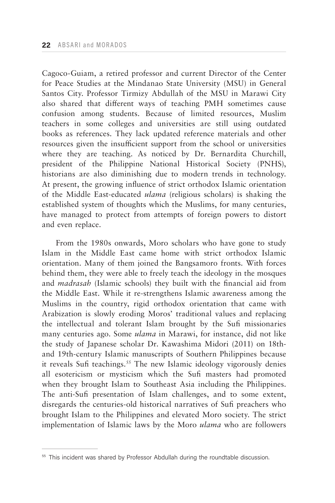Cagoco-Guiam, a retired professor and current Director of the Center for Peace Studies at the Mindanao State University (MSU) in General Santos City. Professor Tirmizy Abdullah of the MSU in Marawi City also shared that different ways of teaching PMH sometimes cause confusion among students. Because of limited resources, Muslim teachers in some colleges and universities are still using outdated books as references. They lack updated reference materials and other resources given the insufficient support from the school or universities where they are teaching. As noticed by Dr. Bernardita Churchill, president of the Philippine National Historical Society (PNHS), historians are also diminishing due to modern trends in technology. At present, the growing influence of strict orthodox Islamic orientation of the Middle East-educated *ulama* (religious scholars) is shaking the established system of thoughts which the Muslims, for many centuries, have managed to protect from attempts of foreign powers to distort and even replace.

From the 1980s onwards, Moro scholars who have gone to study Islam in the Middle East came home with strict orthodox Islamic orientation. Many of them joined the Bangsamoro fronts. With forces behind them, they were able to freely teach the ideology in the mosques and *madrasah* (Islamic schools) they built with the financial aid from the Middle East. While it re-strengthens Islamic awareness among the Muslims in the country, rigid orthodox orientation that came with Arabization is slowly eroding Moros' traditional values and replacing the intellectual and tolerant Islam brought by the Sufi missionaries many centuries ago. Some *ulama* in Marawi, for instance, did not like the study of Japanese scholar Dr. Kawashima Midori (2011) on 18thand 19th-century Islamic manuscripts of Southern Philippines because it reveals Sufi teachings.<sup>55</sup> The new Islamic ideology vigorously denies all esotericism or mysticism which the Sufi masters had promoted when they brought Islam to Southeast Asia including the Philippines. The anti-Sufi presentation of Islam challenges, and to some extent, disregards the centuries-old historical narratives of Sufi preachers who brought Islam to the Philippines and elevated Moro society. The strict implementation of Islamic laws by the Moro *ulama* who are followers

<sup>&</sup>lt;sup>55</sup> This incident was shared by Professor Abdullah during the roundtable discussion.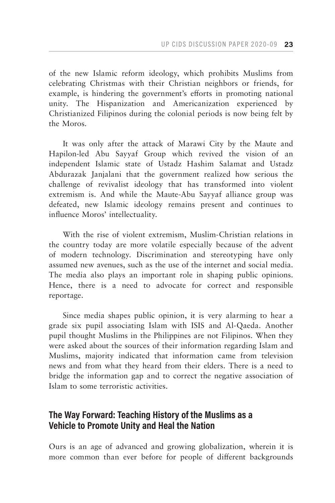of the new Islamic reform ideology, which prohibits Muslims from celebrating Christmas with their Christian neighbors or friends, for example, is hindering the government's efforts in promoting national unity. The Hispanization and Americanization experienced by Christianized Filipinos during the colonial periods is now being felt by the Moros.

It was only after the attack of Marawi City by the Maute and Hapilon-led Abu Sayyaf Group which revived the vision of an independent Islamic state of Ustadz Hashim Salamat and Ustadz Abdurazak Janjalani that the government realized how serious the challenge of revivalist ideology that has transformed into violent extremism is. And while the Maute-Abu Sayyaf alliance group was defeated, new Islamic ideology remains present and continues to influence Moros' intellectuality.

With the rise of violent extremism, Muslim-Christian relations in the country today are more volatile especially because of the advent of modern technology. Discrimination and stereotyping have only assumed new avenues, such as the use of the internet and social media. The media also plays an important role in shaping public opinions. Hence, there is a need to advocate for correct and responsible reportage.

Since media shapes public opinion, it is very alarming to hear a grade six pupil associating Islam with ISIS and Al-Qaeda. Another pupil thought Muslims in the Philippines are not Filipinos. When they were asked about the sources of their information regarding Islam and Muslims, majority indicated that information came from television news and from what they heard from their elders. There is a need to bridge the information gap and to correct the negative association of Islam to some terroristic activities.

## **The Way Forward: Teaching History of the Muslims as a Vehicle to Promote Unity and Heal the Nation**

Ours is an age of advanced and growing globalization, wherein it is more common than ever before for people of different backgrounds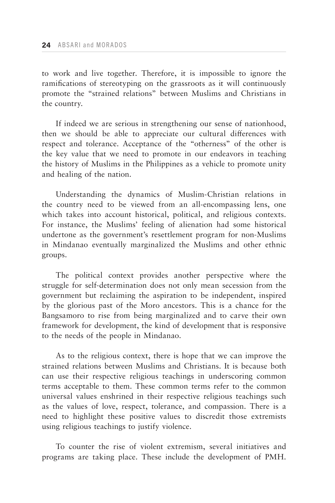to work and live together. Therefore, it is impossible to ignore the ramifications of stereotyping on the grassroots as it will continuously promote the "strained relations" between Muslims and Christians in the country.

If indeed we are serious in strengthening our sense of nationhood, then we should be able to appreciate our cultural differences with respect and tolerance. Acceptance of the "otherness" of the other is the key value that we need to promote in our endeavors in teaching the history of Muslims in the Philippines as a vehicle to promote unity and healing of the nation.

Understanding the dynamics of Muslim-Christian relations in the country need to be viewed from an all-encompassing lens, one which takes into account historical, political, and religious contexts. For instance, the Muslims' feeling of alienation had some historical undertone as the government's resettlement program for non-Muslims in Mindanao eventually marginalized the Muslims and other ethnic groups.

The political context provides another perspective where the struggle for self-determination does not only mean secession from the government but reclaiming the aspiration to be independent, inspired by the glorious past of the Moro ancestors. This is a chance for the Bangsamoro to rise from being marginalized and to carve their own framework for development, the kind of development that is responsive to the needs of the people in Mindanao.

As to the religious context, there is hope that we can improve the strained relations between Muslims and Christians. It is because both can use their respective religious teachings in underscoring common terms acceptable to them. These common terms refer to the common universal values enshrined in their respective religious teachings such as the values of love, respect, tolerance, and compassion. There is a need to highlight these positive values to discredit those extremists using religious teachings to justify violence.

To counter the rise of violent extremism, several initiatives and programs are taking place. These include the development of PMH.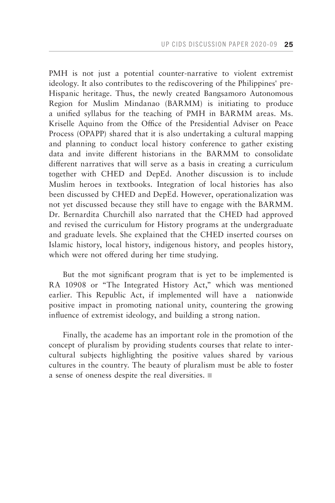PMH is not just a potential counter-narrative to violent extremist ideology. It also contributes to the rediscovering of the Philippines' pre-Hispanic heritage. Thus, the newly created Bangsamoro Autonomous Region for Muslim Mindanao (BARMM) is initiating to produce a unified syllabus for the teaching of PMH in BARMM areas. Ms. Kriselle Aquino from the Office of the Presidential Adviser on Peace Process (OPAPP) shared that it is also undertaking a cultural mapping and planning to conduct local history conference to gather existing data and invite different historians in the BARMM to consolidate different narratives that will serve as a basis in creating a curriculum together with CHED and DepEd. Another discussion is to include Muslim heroes in textbooks. Integration of local histories has also been discussed by CHED and DepEd. However, operationalization was not yet discussed because they still have to engage with the BARMM. Dr. Bernardita Churchill also narrated that the CHED had approved and revised the curriculum for History programs at the undergraduate and graduate levels. She explained that the CHED inserted courses on Islamic history, local history, indigenous history, and peoples history, which were not offered during her time studying.

But the mot significant program that is yet to be implemented is RA 10908 or "The Integrated History Act," which was mentioned earlier. This Republic Act, if implemented will have a nationwide positive impact in promoting national unity, countering the growing influence of extremist ideology, and building a strong nation.

Finally, the academe has an important role in the promotion of the concept of pluralism by providing students courses that relate to intercultural subjects highlighting the positive values shared by various cultures in the country. The beauty of pluralism must be able to foster a sense of oneness despite the real diversities.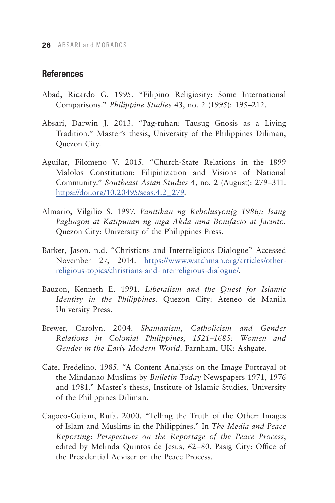## **References**

- Abad, Ricardo G. 1995. "Filipino Religiosity: Some International Comparisons." *Philippine Studies* 43, no. 2 (1995): 195–212.
- Absari, Darwin J. 2013. "Pag-tuhan: Tausug Gnosis as a Living Tradition." Master's thesis, University of the Philippines Diliman, Quezon City.
- Aguilar, Filomeno V. 2015. "Church-State Relations in the 1899 Malolos Constitution: Filipinization and Visions of National Community." *Southeast Asian Studies* 4, no. 2 (August): 279–311. [https://doi.org/10.20495/seas.4.2\\_279](https://doi.org/10.20495/seas.4.2_279).
- Almario, Vilgilio S. 1997. *Panitikan ng Rebolusyon(g 1986): Isang Paglingon at Katipunan ng mga Akda nina Bonifacio at Jacinto.* Quezon City: University of the Philippines Press.
- Barker, Jason. n.d. "Christians and Interreligious Dialogue" Accessed November 27, 2014. [https://www.watchman.org/articles/other](https://www.watchman.org/articles/other-religious-topics/christians-and-interreligious-dialogue/)[religious-topics/christians-and-interreligious-dialogue/](https://www.watchman.org/articles/other-religious-topics/christians-and-interreligious-dialogue/).
- Bauzon, Kenneth E. 1991. *Liberalism and the Quest for Islamic Identity in the Philippines*. Quezon City: Ateneo de Manila University Press.
- Brewer, Carolyn. 2004. *Shamanism, Catholicism and Gender Relations in Colonial Philippines, 1521–1685: Women and Gender in the Early Modern World*. Farnham, UK: Ashgate.
- Cafe, Fredelino. 1985. "A Content Analysis on the Image Portrayal of the Mindanao Muslims by *Bulletin Today* Newspapers 1971, 1976 and 1981." Master's thesis, Institute of Islamic Studies, University of the Philippines Diliman.
- Cagoco-Guiam, Rufa. 2000. "Telling the Truth of the Other: Images of Islam and Muslims in the Philippines." In *The Media and Peace Reporting: Perspectives on the Reportage of the Peace Process*, edited by Melinda Quintos de Jesus, 62–80. Pasig City: Office of the Presidential Adviser on the Peace Process.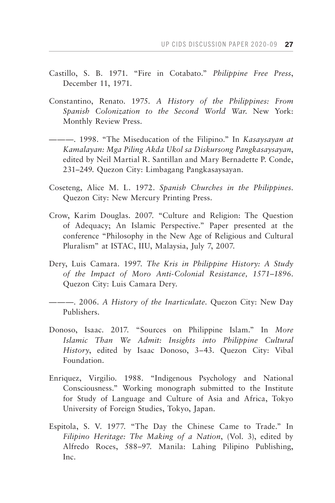- Castillo, S. B. 1971. "Fire in Cotabato." *Philippine Free Press*, December 11, 1971.
- Constantino, Renato. 1975. *A History of the Philippines: From Spanish Colonization to the Second World War*. New York: Monthly Review Press.
- ———. 1998. "The Miseducation of the Filipino." In *Kasaysayan at Kamalayan: Mga Piling Akda Ukol sa Diskursong Pangkasaysayan*, edited by Neil Martial R. Santillan and Mary Bernadette P. Conde, 231–249. Quezon City: Limbagang Pangkasaysayan.
- Coseteng, Alice M. L. 1972. *Spanish Churches in the Philippines*. Quezon City: New Mercury Printing Press.
- Crow, Karim Douglas. 2007. "Culture and Religion: The Question of Adequacy; An Islamic Perspective." Paper presented at the conference "Philosophy in the New Age of Religious and Cultural Pluralism" at ISTAC, IIU, Malaysia, July 7, 2007.
- Dery, Luis Camara. 1997. *The Kris in Philippine History: A Study of the Impact of Moro Anti-Colonial Resistance, 1571–1896*. Quezon City: Luis Camara Dery.
- ———. 2006. *A History of the Inarticulate*. Quezon City: New Day Publishers.
- Donoso, Isaac. 2017. "Sources on Philippine Islam." In *More Islamic Than We Admit: Insights into Philippine Cultural History*, edited by Isaac Donoso, 3–43. Quezon City: Vibal Foundation.
- Enriquez, Virgilio. 1988. "Indigenous Psychology and National Consciousness." Working monograph submitted to the Institute for Study of Language and Culture of Asia and Africa, Tokyo University of Foreign Studies, Tokyo, Japan.
- Espitola, S. V. 1977. "The Day the Chinese Came to Trade." In *Filipino Heritage: The Making of a Nation*, (Vol. 3), edited by Alfredo Roces, 588–97. Manila: Lahing Pilipino Publishing, Inc.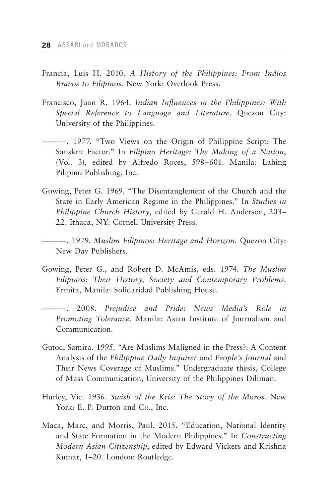- Francia, Luis H. 2010. *A History of the Philippines: From Indios Bravos to Filipinos*. New York: Overlook Press.
- Francisco, Juan R. 1964. *Indian Influences in the Philippines: With Special Reference to Language and Literature*. Quezon City: University of the Philippines.
- ———. 1977. "Two Views on the Origin of Philippine Script: The Sanskrit Factor." In *Filipino Heritage: The Making of a Nation*, (Vol. 3), edited by Alfredo Roces, 598–601. Manila: Lahing Pilipino Publishing, Inc.
- Gowing, Peter G. 1969. "The Disentanglement of the Church and the State in Early American Regime in the Philippines." In *Studies in Philippine Church History*, edited by Gerald H. Anderson, 203– 22. Ithaca, NY: Cornell University Press.
- ———. 1979. *Muslim Filipinos: Heritage and Horizon*. Quezon City: New Day Publishers.
- Gowing, Peter G., and Robert D. McAmis, eds. 1974. *The Muslim Filipinos: Their History, Society and Contemporary Problems*. Ermita, Manila: Solidaridad Publishing House.
- ———. 2008. *Prejudice and Pride: News Media's Role in Promoting Tolerance.* Manila: Asian Institute of Journalism and Communication.
- Gutoc, Samira. 1995. "Are Muslims Maligned in the Press?: A Content Analysis of the *Philippine Daily Inquirer* and *People's Journal* and Their News Coverage of Muslims." Undergraduate thesis, College of Mass Communication, University of the Philippines Diliman.
- Hurley, Vic. 1936. *Swish of the Kris: The Story of the Moros*. New York: E. P. Dutton and Co., Inc.
- Maca, Marc, and Morris, Paul. 2015. "Education, National Identity and State Formation in the Modern Philippines." In *Constructing Modern Asian Citizenship*, edited by Edward Vickers and Krishna Kumar, 1–20. London: Routledge.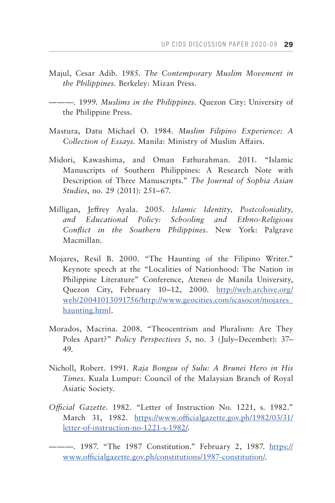- Majul, Cesar Adib. 1985. *The Contemporary Muslim Movement in the Philippines*. Berkeley: Mizan Press.
- ———. 1999. *Muslims in the Philippines*. Quezon City: University of the Philippine Press.
- Mastura, Datu Michael O. 1984. *Muslim Filipino Experience: A Collection of Essays*. Manila: Ministry of Muslim Affairs.
- Midori, Kawashima, and Oman Fathurahman. 2011. "Islamic Manuscripts of Southern Philippines: A Research Note with Description of Three Manuscripts." *The Journal of Sophia Asian Studies*, no. 29 (2011): 251–67.
- Milligan, Jeffrey Ayala. 2005. *Islamic Identity, Postcoloniality, and Educational Policy: Schooling and Ethno-Religious Conflict in the Southern Philippines*. New York: Palgrave Macmillan.
- Mojares, Resil B. 2000. "The Haunting of the Filipino Writer." Keynote speech at the "Localities of Nationhood: The Nation in Philippine Literature" Conference, Ateneo de Manila University, Quezon City, February 10–12, 2000. [http://web.archive.org/](http://web.archive.org/web/20041013091756/http://www.geocities.com/icasocot/mojares_haunting.html) [web/20041013091756/http://www.geocities.com/icasocot/mojares\\_](http://web.archive.org/web/20041013091756/http://www.geocities.com/icasocot/mojares_haunting.html) [haunting.html](http://web.archive.org/web/20041013091756/http://www.geocities.com/icasocot/mojares_haunting.html).
- Morados, Macrina. 2008. "Theocentrism and Pluralism: Are They Poles Apart?" *Policy Perspectives* 5, no. 3 (July–December): 37– 49.
- Nicholl, Robert. 1991. *Raja Bongsu of Sulu: A Brunei Hero in His Times*. Kuala Lumpur: Council of the Malaysian Branch of Royal Asiatic Society.
- *Official Gazette*. 1982. "Letter of Instruction No. 1221, s. 1982." March 31, 1982. [https://www.officialgazette.gov.ph/1982/03/31/](https://www.officialgazette.gov.ph/1982/03/31/letter-of-instruction-no-1221-s-1982/) [letter-of-instruction-no-1221-s-1982/.](https://www.officialgazette.gov.ph/1982/03/31/letter-of-instruction-no-1221-s-1982/)
- ———. 1987. "The 1987 Constitution." February 2, 1987. [https://](https://www.officialgazette.gov.ph/constitutions/1987-constitution/) [www.officialgazette.gov.ph/constitutions/1987-constitution/.](https://www.officialgazette.gov.ph/constitutions/1987-constitution/)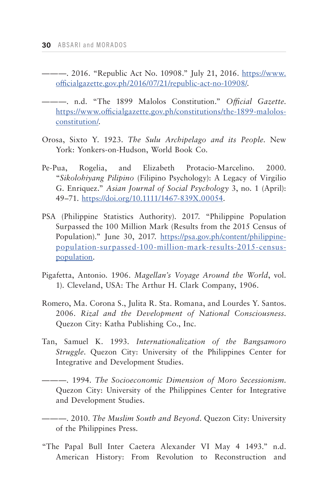- ———. 2016. "Republic Act No. 10908." July 21, 2016. [https://www.](https://www.officialgazette.gov.ph/2016/07/21/republic-act-no-10908/) [officialgazette.gov.ph/2016/07/21/republic-act-no-10908/.](https://www.officialgazette.gov.ph/2016/07/21/republic-act-no-10908/)
- ———. n.d. "The 1899 Malolos Constitution." *Official Gazette*. [https://www.officialgazette.gov.ph/constitutions/the-1899-malolos](https://www.officialgazette.gov.ph/constitutions/the-1899-malolos-constitution/)[constitution/.](https://www.officialgazette.gov.ph/constitutions/the-1899-malolos-constitution/)
- Orosa, Sixto Y. 1923. *The Sulu Archipelago and its People*. New York: Yonkers-on-Hudson, World Book Co.
- Pe-Pua, Rogelia, and Elizabeth Protacio-Marcelino. 2000. "*Sikolohiyang Pilipino* (Filipino Psychology): A Legacy of Virgilio G. Enriquez." *Asian Journal of Social Psychology* 3, no. 1 (April): 49–71. [https://doi.org/10.1111/1467-839X.00054.](https://doi.org/10.1111/1467-839X.00054)
- PSA (Philippine Statistics Authority). 2017. "Philippine Population Surpassed the 100 Million Mark (Results from the 2015 Census of Population)." June 30, 2017. [https://psa.gov.ph/content/philippine](https://psa.gov.ph/content/philippine-population-surpassed-100-million-mark-results-2015-census-population)[population-surpassed-100-million-mark-results-2015-census](https://psa.gov.ph/content/philippine-population-surpassed-100-million-mark-results-2015-census-population)[population.](https://psa.gov.ph/content/philippine-population-surpassed-100-million-mark-results-2015-census-population)
- Pigafetta, Antonio. 1906. *Magellan's Voyage Around the World*, vol. 1). Cleveland, USA: The Arthur H. Clark Company, 1906.
- Romero, Ma. Corona S., Julita R. Sta. Romana, and Lourdes Y. Santos. 2006. *Rizal and the Development of National Consciousness*. Quezon City: Katha Publishing Co., Inc.
- Tan, Samuel K. 1993. *Internationalization of the Bangsamoro Struggle*. Quezon City: University of the Philippines Center for Integrative and Development Studies.
- ———. 1994. *The Socioeconomic Dimension of Moro Secessionism*. Quezon City: University of the Philippines Center for Integrative and Development Studies.
- ———. 2010. *The Muslim South and Beyond*. Quezon City: University of the Philippines Press.
- "The Papal Bull Inter Caetera Alexander VI May 4 1493." n.d. American History: From Revolution to Reconstruction and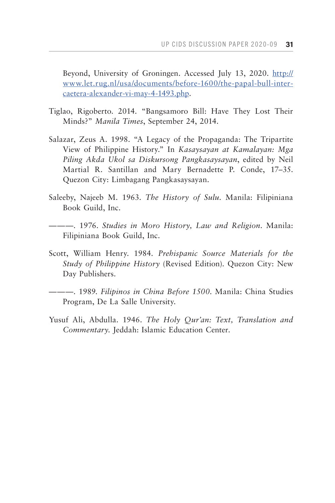Beyond, University of Groningen. Accessed July 13, 2020. [http://](http://www.let.rug.nl/usa/documents/before-1600/the-papal-bull-inter-caetera-alexander-vi-may-4-1493.php) [www.let.rug.nl/usa/documents/before-1600/the-papal-bull-inter](http://www.let.rug.nl/usa/documents/before-1600/the-papal-bull-inter-caetera-alexander-vi-may-4-1493.php)[caetera-alexander-vi-may-4-1493.php.](http://www.let.rug.nl/usa/documents/before-1600/the-papal-bull-inter-caetera-alexander-vi-may-4-1493.php)

- Tiglao, Rigoberto. 2014. "Bangsamoro Bill: Have They Lost Their Minds?" *Manila Times*, September 24, 2014.
- Salazar, Zeus A. 1998. "A Legacy of the Propaganda: The Tripartite View of Philippine History." In *Kasaysayan at Kamalayan: Mga Piling Akda Ukol sa Diskursong Pangkasaysayan*, edited by Neil Martial R. Santillan and Mary Bernadette P. Conde, 17–35. Quezon City: Limbagang Pangkasaysayan.
- Saleeby, Najeeb M. 1963. *The History of Sulu*. Manila: Filipiniana Book Guild, Inc.
- ———. 1976. *Studies in Moro History, Law and Religion*. Manila: Filipiniana Book Guild, Inc.
- Scott, William Henry. 1984. *Prehispanic Source Materials for the Study of Philippine History* (Revised Edition). Quezon City: New Day Publishers.
- ———. 1989. *Filipinos in China Before 1500*. Manila: China Studies Program, De La Salle University.
- Yusuf Ali, Abdulla. 1946. *The Holy Qur'an: Text, Translation and Commentary*. Jeddah: Islamic Education Center.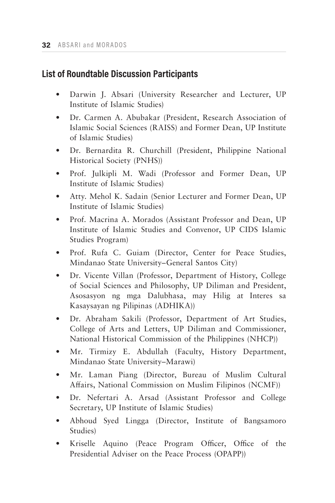## **List of Roundtable Discussion Participants**

- Darwin J. Absari (University Researcher and Lecturer, UP Institute of Islamic Studies)
- Dr. Carmen A. Abubakar (President, Research Association of Islamic Social Sciences (RAISS) and Former Dean, UP Institute of Islamic Studies)
- Dr. Bernardita R. Churchill (President, Philippine National Historical Society (PNHS))
- Prof. Julkipli M. Wadi (Professor and Former Dean, UP Institute of Islamic Studies)
- Atty. Mehol K. Sadain (Senior Lecturer and Former Dean, UP Institute of Islamic Studies)
- Prof. Macrina A. Morados (Assistant Professor and Dean, UP Institute of Islamic Studies and Convenor, UP CIDS Islamic Studies Program)
- Prof. Rufa C. Guiam (Director, Center for Peace Studies, Mindanao State University–General Santos City)
- Dr. Vicente Villan (Professor, Department of History, College of Social Sciences and Philosophy, UP Diliman and President, Asosasyon ng mga Dalubhasa, may Hilig at Interes sa Kasaysayan ng Pilipinas (ADHIKA))
- Dr. Abraham Sakili (Professor, Department of Art Studies, College of Arts and Letters, UP Diliman and Commissioner, National Historical Commission of the Philippines (NHCP))
- Mr. Tirmizy E. Abdullah (Faculty, History Department, Mindanao State University–Marawi)
- Mr. Laman Piang (Director, Bureau of Muslim Cultural Affairs, National Commission on Muslim Filipinos (NCMF))
- Dr. Nefertari A. Arsad (Assistant Professor and College Secretary, UP Institute of Islamic Studies)
- Abhoud Syed Lingga (Director, Institute of Bangsamoro Studies)
- Kriselle Aquino (Peace Program Officer, Office of the Presidential Adviser on the Peace Process (OPAPP))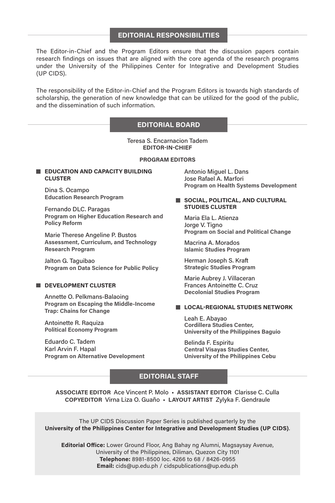#### **EDITORIAL RESPONSIBILITIES**

The Editor-in-Chief and the Program Editors ensure that the discussion papers contain research findings on issues that are aligned with the core agenda of the research programs under the University of the Philippines Center for Integrative and Development Studies (UP CIDS).

The responsibility of the Editor-in-Chief and the Program Editors is towards high standards of scholarship, the generation of new knowledge that can be utilized for the good of the public, and the dissemination of such information.

#### **EDITORIAL BOARD**

Teresa S. Encarnacion Tadem **EDITOR-IN-CHIEF**

#### **PROGRAM EDITORS**

#### **EDUCATION AND CAPACITY BUILDING CLUSTER**

Dina S. Ocampo **Education Research Program**

Fernando DLC. Paragas **Program on Higher Education Research and Policy Reform**

Marie Therese Angeline P. Bustos **Assessment, Curriculum, and Technology Research Program**

Jalton G. Taguibao **Program on Data Science for Public Policy**

#### **DEVELOPMENT CLUSTER**

Annette O. Pelkmans-Balaoing **Program on Escaping the Middle-Income Trap: Chains for Change**

Antoinette R. Raquiza **Political Economy Program**

Eduardo C. Tadem Karl Arvin F. Hapal **Program on Alternative Development** Antonio Miguel L. Dans Jose Rafael A. Marfori **Program on Health Systems Development**

#### **SOCIAL, POLITICAL, AND CULTURAL STUDIES CLUSTER**

Maria Ela L. Atienza Jorge V. Tigno **Program on Social and Political Change**

Macrina A. Morados **Islamic Studies Program**

Herman Joseph S. Kraft **Strategic Studies Program**

Marie Aubrey J. Villaceran Frances Antoinette C. Cruz **Decolonial Studies Program**

#### **LOCAL-REGIONAL STUDIES NETWORK**

Leah E. Abayao **Cordillera Studies Center, University of the Philippines Baguio**

Belinda F. Espiritu **Central Visayas Studies Center, University of the Philippines Cebu**

#### **EDITORIAL STAFF**

**ASSOCIATE EDITOR** Ace Vincent P. Molo • **ASSISTANT EDITOR** Clarisse C. Culla **COPYEDITOR** Virna Liza O. Guaño • **LAYOUT ARTIST** Zylyka F. Gendraule

The UP CIDS Discussion Paper Series is published quarterly by the **University of the Philippines Center for Integrative and Development Studies (UP CIDS)**.

**Editorial Office:** Lower Ground Floor, Ang Bahay ng Alumni, Magsaysay Avenue, University of the Philippines, Diliman, Quezon City 1101 **Telephone:** 8981-8500 loc. 4266 to 68 / 8426-0955 **Email:** cids@up.edu.ph / cidspublications@up.edu.ph